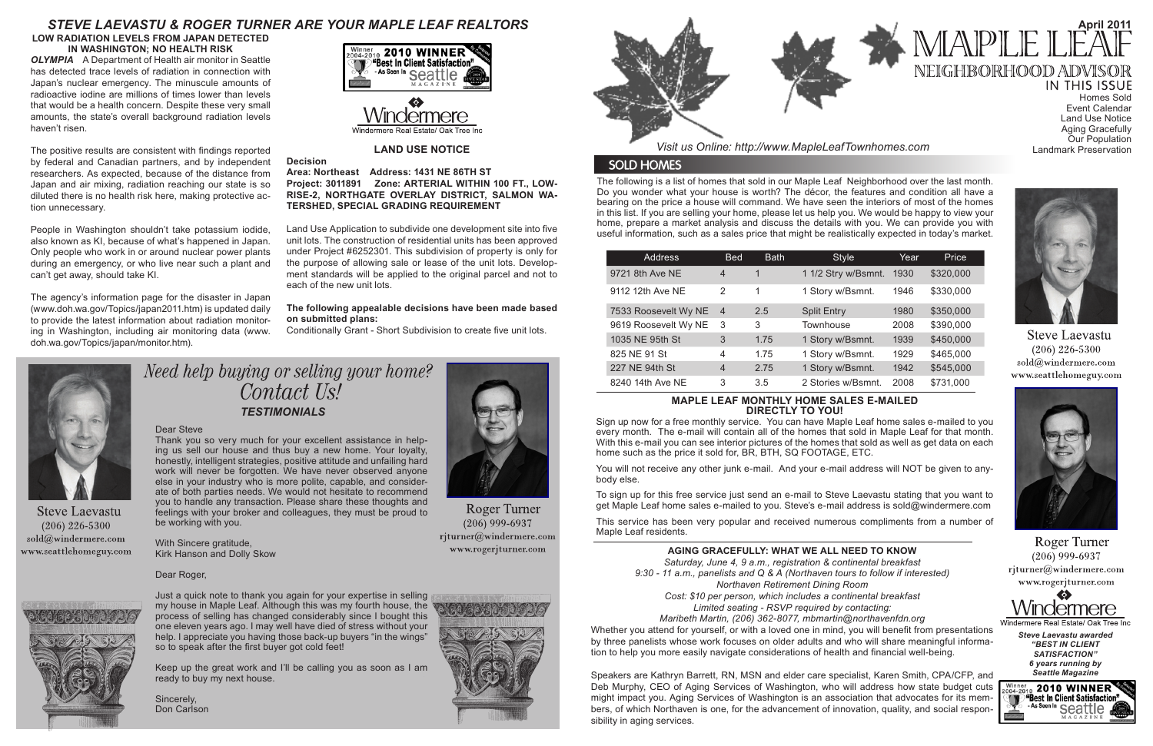The following is a list of homes that sold in our Maple Leaf Neighborhood over the last month. Do you wonder what your house is worth? The décor, the features and condition all have a bearing on the price a house will command. We have seen the interiors of most of the homes in this list. If you are selling your home, please let us help you. We would be happy to view your home, prepare a market analysis and discuss the details with you. We can provide you with useful information, such as a sales price that might be realistically expected in today's market.

You will not receive any other junk e-mail. And your e-mail address will NOT be given to anybody else.

*Visit us Online: http://www.MapleLeafTownhomes.com*

## **SOLD HOMES**

# *STEVE LAEVASTU & ROGER TURNER ARE YOUR MAPLE LEAF REALTORS*

#### **MAPLE LEAF MONTHLY HOME SALES E-MAILED DIRECTLY TO YOU!**

Need help buying or selling your home? Contact Us! *TESTIMONIALS*

Sign up now for a free monthly service. You can have Maple Leaf home sales e-mailed to you every month. The e-mail will contain all of the homes that sold in Maple Leaf for that month. With this e-mail you can see interior pictures of the homes that sold as well as get data on each home such as the price it sold for, BR, BTH, SQ FOOTAGE, ETC.

To sign up for this free service just send an e-mail to Steve Laevastu stating that you want to get Maple Leaf home sales e-mailed to you. Steve's e-mail address is sold@windermere.com

This service has been very popular and received numerous compliments from a number of Maple Leaf residents.

Homes Sold Event Calendar Land Use Notice Aging Gracefully Our Population Landmark Preservation

- 
- 
- 
- 
- 
- 



**Steve Laevastu**  $(206)$  226-5300  $\text{cold}(\textit{a})$ windermere.com www.seattlehomeguy.com



Roger Turner  $(206)$  999-6937 rjturner@windermere.com www.rogerjturner.com

#### Dear Steve

Thank you so very much for your excellent assistance in helping us sell our house and thus buy a new home. Your loyalty, honestly, intelligent strategies, positive attitude and unfailing hard work will never be forgotten. We have never observed anyone else in your industry who is more polite, capable, and considerate of both parties needs. We would not hesitate to recommend you to handle any transaction. Please share these thoughts and feelings with your broker and colleagues, they must be proud to be working with you.

With Sincere gratitude, Kirk Hanson and Dolly Skow

Dear Roger,

Just a quick note to thank you again for your expertise in selling my house in Maple Leaf. Although this was my fourth house, the process of selling has changed considerably since I bought this one eleven years ago. I may well have died of stress without your help. I appreciate you having those back-up buyers "in the wings" so to speak after the first buyer got cold feet!

Keep up the great work and I'll be calling you as soon as I am ready to buy my next house.

Sincerely, Don Carlson



**Roger Turner**  $(206)$  999-6937 rjturner@windermere.com www.rogerjturner.com





| <b>Address</b>       | <b>Bed</b>     | <b>Bath</b> | <b>Style</b>        | Year | Price     |
|----------------------|----------------|-------------|---------------------|------|-----------|
| 9721 8th Ave NE      | $\overline{4}$ | 1           | 1 1/2 Stry w/Bsmnt. | 1930 | \$320,000 |
| 9112 12th Ave NE     | $\mathcal{P}$  | 1           | 1 Story w/Bsmnt.    | 1946 | \$330,000 |
| 7533 Roosevelt Wy NE | -4             | 2.5         | <b>Split Entry</b>  | 1980 | \$350,000 |
| 9619 Roosevelt Wy NE | -3             | 3           | Townhouse           | 2008 | \$390,000 |
| 1035 NE 95th St      | 3              | 1.75        | 1 Story w/Bsmnt.    | 1939 | \$450,000 |
| 825 NE 91 St         | 4              | 1.75        | 1 Story w/Bsmnt.    | 1929 | \$465,000 |
| 227 NE 94th St       | $\overline{4}$ | 2.75        | 1 Story w/Bsmnt.    | 1942 | \$545,000 |
| 8240 14th Ave NE     | 3              | 3.5         | 2 Stories w/Bsmnt.  | 2008 | \$731,000 |



#### **LAND USE NOTICE**

**Decision**

#### **Area: Northeast Address: 1431 NE 86TH ST Project: 3011891 Zone: ARTERIAL WITHIN 100 FT., LOW-RISE-2, NORTHGATE OVERLAY DISTRICT, SALMON WA-TERSHED, SPECIAL GRADING REQUIREMENT**

Land Use Application to subdivide one development site into five unit lots. The construction of residential units has been approved under Project #6252301. This subdivision of property is only for the purpose of allowing sale or lease of the unit lots. Development standards will be applied to the original parcel and not to each of the new unit lots.

#### **The following appealable decisions have been made based on submitted plans:**

Conditionally Grant - Short Subdivision to create five unit lots.



**Steve Laevastu**  $(206)$  226-5300  $sold@$ windermere.com www.seattlehomeguy.com



#### **AGING GRACEFULLY: WHAT WE ALL NEED TO KNOW**

*Saturday, June 4, 9 a.m., registration & continental breakfast*

*9:30 - 11 a.m., panelists and Q & A (Northaven tours to follow if interested)*

*Northaven Retirement Dining Room*

*Cost: \$10 per person, which includes a continental breakfast*

*Limited seating - RSVP required by contacting:*

*Maribeth Martin, (206) 362-8077, mbmartin@northavenfdn.org*

Whether you attend for yourself, or with a loved one in mind, you will benefit from presentations by three panelists whose work focuses on older adults and who will share meaningful information to help you more easily navigate considerations of health and financial well-being.

Speakers are Kathryn Barrett, RN, MSN and elder care specialist, Karen Smith, CPA/CFP, and Deb Murphy, CEO of Aging Services of Washington, who will address how state budget cuts might impact you. Aging Services of Washington is an association that advocates for its members, of which Northaven is one, for the advancement of innovation, quality, and social responsibility in aging services.



# **April 2011** MAPLE I NEIGHBORHOOD ADVISOR

**IN THIS ISSUE** 

#### **LOW RADIATION LEVELS FROM JAPAN DETECTED IN WASHINGTON; NO HEALTH RISK**

*OLYMPIA* A Department of Health air monitor in Seattle has detected trace levels of radiation in connection with Japan's nuclear emergency. The minuscule amounts of radioactive iodine are millions of times lower than levels that would be a health concern. Despite these very small amounts, the state's overall background radiation levels haven't risen.

The positive results are consistent with findings reported by federal and Canadian partners, and by independent researchers. As expected, because of the distance from Japan and air mixing, radiation reaching our state is so diluted there is no health risk here, making protective action unnecessary.

People in Washington shouldn't take potassium iodide, also known as KI, because of what's happened in Japan. Only people who work in or around nuclear power plants during an emergency, or who live near such a plant and can't get away, should take KI.

The agency's information page for the disaster in Japan (www.doh.wa.gov/Topics/japan2011.htm) is updated daily to provide the latest information about radiation monitoring in Washington, including air monitoring data (www. doh.wa.gov/Topics/japan/monitor.htm).